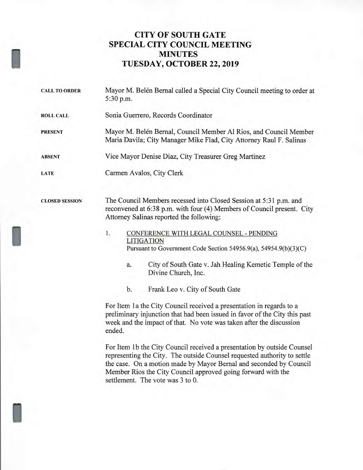## **CITY OF SOUTH GATE SPECIAL CITY COUNCIL MEETING MINUTES TUESDAY, OCTOBER 22, 2019**

| <b>CALL TO ORDER</b>  | Mayor M. Belén Bernal called a Special City Council meeting to order at<br>5:30 p.m.                                                                                                                                                                                                                                                                                                                                                                                                                                             |
|-----------------------|----------------------------------------------------------------------------------------------------------------------------------------------------------------------------------------------------------------------------------------------------------------------------------------------------------------------------------------------------------------------------------------------------------------------------------------------------------------------------------------------------------------------------------|
| <b>ROLL CALL</b>      | Sonia Guerrero, Records Coordinator                                                                                                                                                                                                                                                                                                                                                                                                                                                                                              |
| <b>PRESENT</b>        | Mayor M. Belén Bernal, Council Member Al Rios, and Council Member<br>Maria Davila; City Manager Mike Flad, City Attorney Raul F. Salinas                                                                                                                                                                                                                                                                                                                                                                                         |
| <b>ABSENT</b>         | Vice Mayor Denise Diaz, City Treasurer Greg Martinez                                                                                                                                                                                                                                                                                                                                                                                                                                                                             |
| LATE                  | Carmen Avalos, City Clerk                                                                                                                                                                                                                                                                                                                                                                                                                                                                                                        |
| <b>CLOSED SESSION</b> | The Council Members recessed into Closed Session at 5:31 p.m. and<br>reconvened at 6:38 p.m. with four (4) Members of Council present. City<br>Attorney Salinas reported the following:                                                                                                                                                                                                                                                                                                                                          |
|                       | 1.<br>CONFERENCE WITH LEGAL COUNSEL - PENDING<br><b>LITIGATION</b><br>Pursuant to Government Code Section 54956.9(a), 54954.9(b)(3)(C)<br>City of South Gate v. Jah Healing Kemetic Temple of the<br>a.<br>Divine Church, Inc.                                                                                                                                                                                                                                                                                                   |
|                       | Frank Leo v. City of South Gate<br>b.                                                                                                                                                                                                                                                                                                                                                                                                                                                                                            |
|                       | For Item 1a the City Council received a presentation in regards to a<br>preliminary injunction that had been issued in favor of the City this past<br>week and the impact of that. No vote was taken after the discussion<br>ended.<br>For Item 1b the City Council received a presentation by outside Counsel<br>representing the City. The outside Counsel requested authority to settle<br>the case. On a motion made by Mayor Bernal and seconded by Council<br>Member Rios the City Council approved going forward with the |
|                       | settlement. The vote was 3 to 0.                                                                                                                                                                                                                                                                                                                                                                                                                                                                                                 |